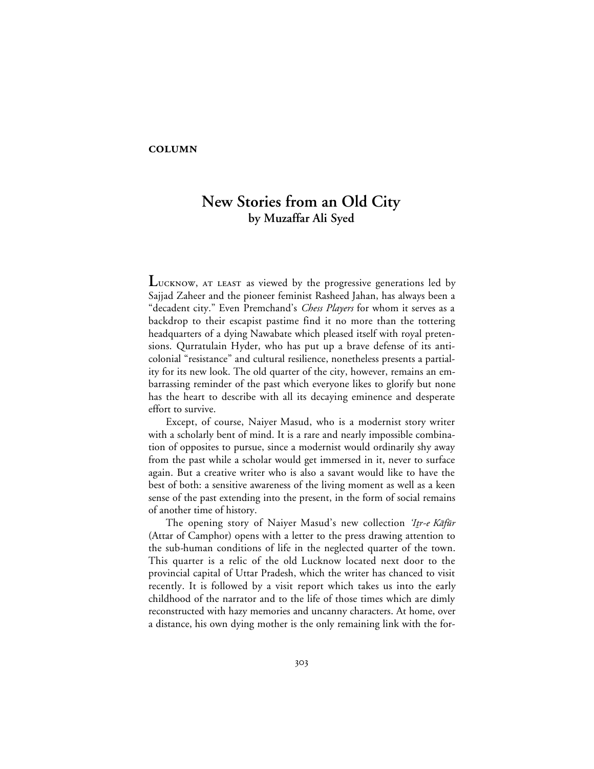## **COLUMN**

## **New Stories from an Old City by Muzaffar Ali Syed**

LUCKNOW, AT LEAST as viewed by the progressive generations led by Sajjad Zaheer and the pioneer feminist Rasheed Jahan, has always been a "decadent city." Even Premchand's *Chess Players* for whom it serves as a backdrop to their escapist pastime find it no more than the tottering headquarters of a dying Nawabate which pleased itself with royal pretensions. Qurratulain Hyder, who has put up a brave defense of its anticolonial "resistance" and cultural resilience, nonetheless presents a partiality for its new look. The old quarter of the city, however, remains an embarrassing reminder of the past which everyone likes to glorify but none has the heart to describe with all its decaying eminence and desperate effort to survive.

Except, of course, Naiyer Masud, who is a modernist story writer with a scholarly bent of mind. It is a rare and nearly impossible combination of opposites to pursue, since a modernist would ordinarily shy away from the past while a scholar would get immersed in it, never to surface again. But a creative writer who is also a savant would like to have the best of both: a sensitive awareness of the living moment as well as a keen sense of the past extending into the present, in the form of social remains of another time of history.

The opening story of Naiyer Masud's new collection 'Itr-e Kafūr (Attar of Camphor) opens with a letter to the press drawing attention to the sub-human conditions of life in the neglected quarter of the town. This quarter is a relic of the old Lucknow located next door to the provincial capital of Uttar Pradesh, which the writer has chanced to visit recently. It is followed by a visit report which takes us into the early childhood of the narrator and to the life of those times which are dimly reconstructed with hazy memories and uncanny characters. At home, over a distance, his own dying mother is the only remaining link with the for-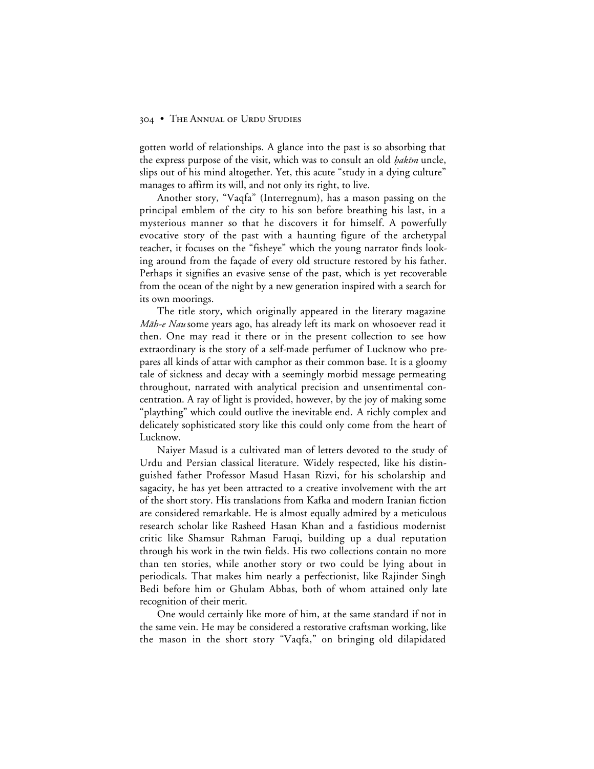## 304 • THE ANNUAL OF URDU STUDIES

gotten world of relationships. A glance into the past is so absorbing that the express purpose of the visit, which was to consult an old *hakim* uncle, slips out of his mind altogether. Yet, this acute "study in a dying culture" manages to affirm its will, and not only its right, to live.

Another story, "Vaqfa" (Interregnum), has a mason passing on the principal emblem of the city to his son before breathing his last, in a mysterious manner so that he discovers it for himself. A powerfully evocative story of the past with a haunting figure of the archetypal teacher, it focuses on the "fisheye" which the young narrator finds looking around from the façade of every old structure restored by his father. Perhaps it signifies an evasive sense of the past, which is yet recoverable from the ocean of the night by a new generation inspired with a search for its own moorings.

The title story, which originally appeared in the literary magazine *Māh-e Nau* some years ago, has already left its mark on whosoever read it then. One may read it there or in the present collection to see how extraordinary is the story of a self-made perfumer of Lucknow who prepares all kinds of attar with camphor as their common base. It is a gloomy tale of sickness and decay with a seemingly morbid message permeating throughout, narrated with analytical precision and unsentimental concentration. A ray of light is provided, however, by the joy of making some "plaything" which could outlive the inevitable end. A richly complex and delicately sophisticated story like this could only come from the heart of Lucknow.

Naiyer Masud is a cultivated man of letters devoted to the study of Urdu and Persian classical literature. Widely respected, like his distinguished father Professor Masud Hasan Rizvi, for his scholarship and sagacity, he has yet been attracted to a creative involvement with the art of the short story. His translations from Kafka and modern Iranian fiction are considered remarkable. He is almost equally admired by a meticulous research scholar like Rasheed Hasan Khan and a fastidious modernist critic like Shamsur Rahman Faruqi, building up a dual reputation through his work in the twin fields. His two collections contain no more than ten stories, while another story or two could be lying about in periodicals. That makes him nearly a perfectionist, like Rajinder Singh Bedi before him or Ghulam Abbas, both of whom attained only late recognition of their merit.

One would certainly like more of him, at the same standard if not in the same vein. He may be considered a restorative craftsman working, like the mason in the short story "Vaqfa," on bringing old dilapidated